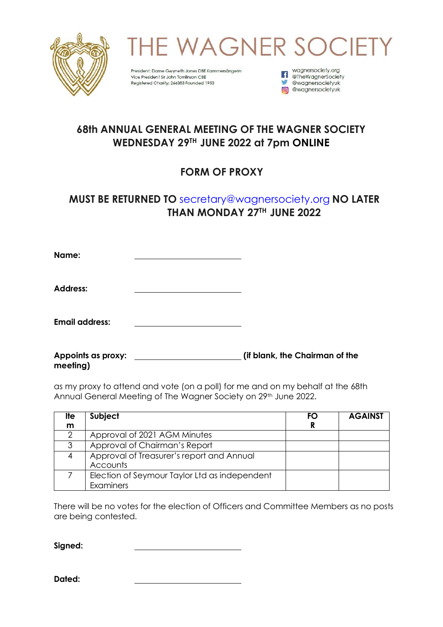

**WAGNER SOCIE** 

President: Dame Gwyneth Jones DBE Kammersängerin Vice President Sir John Tomlinson CBE Registered Charity: 266383 Founded 1953

wagnersociety.org The Wagnersociety.org<br>
The Wagner Society **W** @wagnersocietyuk com @wagnersocietyuk

## **68th ANNUAL GENERAL MEETING OF THE WAGNER SOCIETY WEDNESDAY 29 TH JUNE 2022 at 7pm ONLINE**

## **FORM OF PROXY**

## **MUST BE RETURNED TO** [secretary@wagnersociety.org](mailto:secretary@wagnersociety.org) **NO LATER THAN MONDAY 27 TH JUNE 2022**

**Name:**

**Address:**

**Email address:**

**Appoints as proxy: (if blank, the Chairman of the meeting)**

as my proxy to attend and vote (on a poll) for me and on my behalf at the 68th Annual General Meeting of The Wagner Society on 29<sup>th</sup> June 2022.

| lte | Subject                                       | FΟ | <b>AGAINST</b> |
|-----|-----------------------------------------------|----|----------------|
| m   |                                               |    |                |
|     | Approval of 2021 AGM Minutes                  |    |                |
| 3   | Approval of Chairman's Report                 |    |                |
|     | Approval of Treasurer's report and Annual     |    |                |
|     | Accounts                                      |    |                |
|     | Election of Seymour Taylor Ltd as independent |    |                |
|     | Examiners                                     |    |                |

There will be no votes for the election of Officers and Committee Members as no posts are being contested.

**Signed:**

**Dated:**